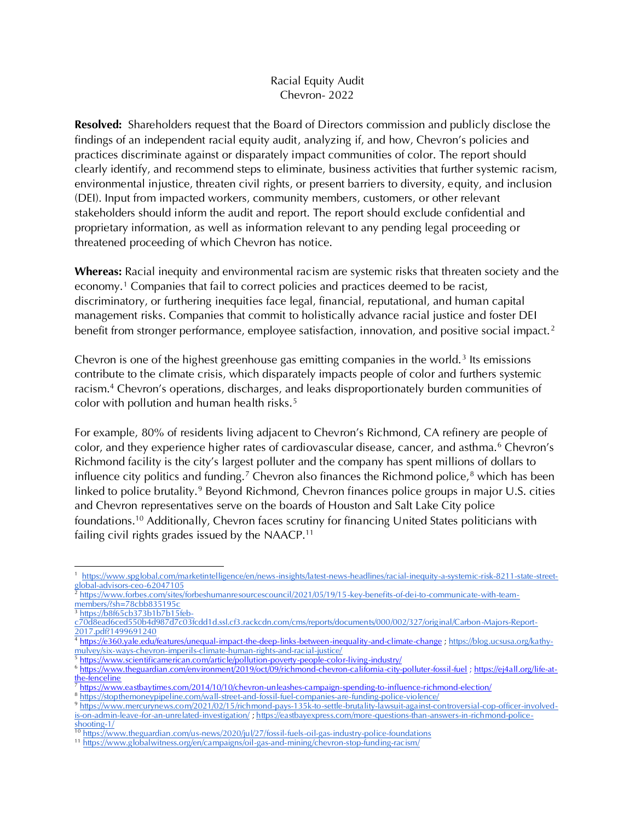## Racial Equity Audit Chevron- 2022

**Resolved:** Shareholders request that the Board of Directors commission and publicly disclose the findings of an independent racial equity audit, analyzing if, and how, Chevron's policies and practices discriminate against or disparately impact communities of color. The report should clearly identify, and recommend steps to eliminate, business activities that further systemic racism, environmental injustice, threaten civil rights, or present barriers to diversity, equity, and inclusion (DEI). Input from impacted workers, community members, customers, or other relevant stakeholders should inform the audit and report. The report should exclude confidential and proprietary information, as well as information relevant to any pending legal proceeding or threatened proceeding of which Chevron has notice.

Whereas: Racial inequity and environmental racism are systemic risks that threaten society and the economy.<sup>1</sup> Companies that fail to correct policies and practices deemed to be racist, discriminatory, or furthering inequities face legal, financial, reputational, and human capital management risks. Companies that commit to holistically advance racial justice and foster DEI benefit from stronger performance, employee satisfaction, innovation, and positive social impact.<sup>2</sup>

Chevron is one of the highest greenhouse gas emitting companies in the world.<sup>3</sup> Its emissions contribute to the climate crisis, which disparately impacts people of color and furthers systemic racism.<sup>4</sup> Chevron's operations, discharges, and leaks disproportionately burden communities of color with pollution and human health risks.<sup>5</sup>

For example, 80% of residents living adjacent to Chevron's Richmond, CA refinery are people of color, and they experience higher rates of cardiovascular disease, cancer, and asthma.<sup>6</sup> Chevron's Richmond facility is the city's largest polluter and the company has spent millions of dollars to influence city politics and funding.<sup>7</sup> Chevron also finances the Richmond police, $8$  which has been linked to police brutality.<sup>9</sup> Beyond Richmond, Chevron finances police groups in major U.S. cities and Chevron representatives serve on the boards of Houston and Salt Lake City police foundations.<sup>10</sup> Additionally, Chevron faces scrutiny for financing United States politicians with failing civil rights grades issued by the NAACP.<sup>11</sup>

<sup>7</sup> <https://www.eastbaytimes.com/2014/10/10/chevron-unleashes-campaign-spending-to-influence-richmond-election/>

<sup>1</sup>  [https://www.spglobal.com/marketintelligence/en/news-insights/latest-news-headlines/racial-inequity-a-systemic-risk-8211-state-street](https://www.spglobal.com/marketintelligence/en/news-insights/latest-news-headlines/racial-inequity-a-systemic-risk-8211-state-street-global-advisors-ceo-62047105)[global-advisors-ceo-62047105](https://www.spglobal.com/marketintelligence/en/news-insights/latest-news-headlines/racial-inequity-a-systemic-risk-8211-state-street-global-advisors-ceo-62047105)

<sup>2</sup> [https://www.forbes.com/sites/forbeshumanresourcescouncil/2021/05/19/15-key-benefits-of-dei-to-communicate-with-team](https://www.forbes.com/sites/forbeshumanresourcescouncil/2021/05/19/15-key-benefits-of-dei-to-communicate-with-team-members/?sh=78cbb835195c)[members/?sh=78cbb835195c](https://www.forbes.com/sites/forbeshumanresourcescouncil/2021/05/19/15-key-benefits-of-dei-to-communicate-with-team-members/?sh=78cbb835195c)

<sup>3</sup> [https://b8f65cb373b1b7b15feb-](https://b8f65cb373b1b7b15feb-c70d8ead6ced550b4d987d7c03fcdd1d.ssl.cf3.rackcdn.com/cms/reports/documents/000/002/327/original/Carbon-Majors-Report-2017.pdf?1499691240)

[c70d8ead6ced550b4d987d7c03fcdd1d.ssl.cf3.rackcdn.com/cms/reports/documents/000/002/327/original/Carbon-Majors-Report-](https://b8f65cb373b1b7b15feb-c70d8ead6ced550b4d987d7c03fcdd1d.ssl.cf3.rackcdn.com/cms/reports/documents/000/002/327/original/Carbon-Majors-Report-2017.pdf?1499691240)[2017.pdf?1499691240](https://b8f65cb373b1b7b15feb-c70d8ead6ced550b4d987d7c03fcdd1d.ssl.cf3.rackcdn.com/cms/reports/documents/000/002/327/original/Carbon-Majors-Report-2017.pdf?1499691240)

<sup>4</sup> <https://e360.yale.edu/features/unequal-impact-the-deep-links-between-inequality-and-climate-change> [; https://blog.ucsusa.org/kathy](https://blog.ucsusa.org/kathy-mulvey/six-ways-chevron-imperils-climate-human-rights-and-racial-justice/)[mulvey/six-ways-chevron-imperils-climate-human-rights-and-racial-justice/](https://blog.ucsusa.org/kathy-mulvey/six-ways-chevron-imperils-climate-human-rights-and-racial-justice/)

<sup>5</sup> <https://www.scientificamerican.com/article/pollution-poverty-people-color-living-industry/>

<sup>6</sup> <https://www.theguardian.com/environment/2019/oct/09/richmond-chevron-california-city-polluter-fossil-fuel> ; https://ej4all.org/life-atthe-fenceline

<sup>8</sup> <https://stopthemoneypipeline.com/wall-street-and-fossil-fuel-companies-are-funding-police-violence/>

<sup>9</sup> [https://www.mercurynews.com/2021/02/15/richmond-pays-135k-to-settle-brutality-lawsuit-against-controversial-cop-officer-involved](https://www.mercurynews.com/2021/02/15/richmond-pays-135k-to-settle-brutality-lawsuit-against-controversial-cop-officer-involved-is-on-admin-leave-for-an-unrelated-investigation/)[is-on-admin-leave-for-an-unrelated-investigation/](https://www.mercurynews.com/2021/02/15/richmond-pays-135k-to-settle-brutality-lawsuit-against-controversial-cop-officer-involved-is-on-admin-leave-for-an-unrelated-investigation/) [; https://eastbayexpress.com/more-questions-than-answers-in-richmond-police](https://eastbayexpress.com/more-questions-than-answers-in-richmond-police-shooting-1/)[shooting-1/](https://eastbayexpress.com/more-questions-than-answers-in-richmond-police-shooting-1/)

<sup>10</sup> <https://www.theguardian.com/us-news/2020/jul/27/fossil-fuels-oil-gas-industry-police-foundations>

<sup>11</sup> <https://www.globalwitness.org/en/campaigns/oil-gas-and-mining/chevron-stop-funding-racism/>